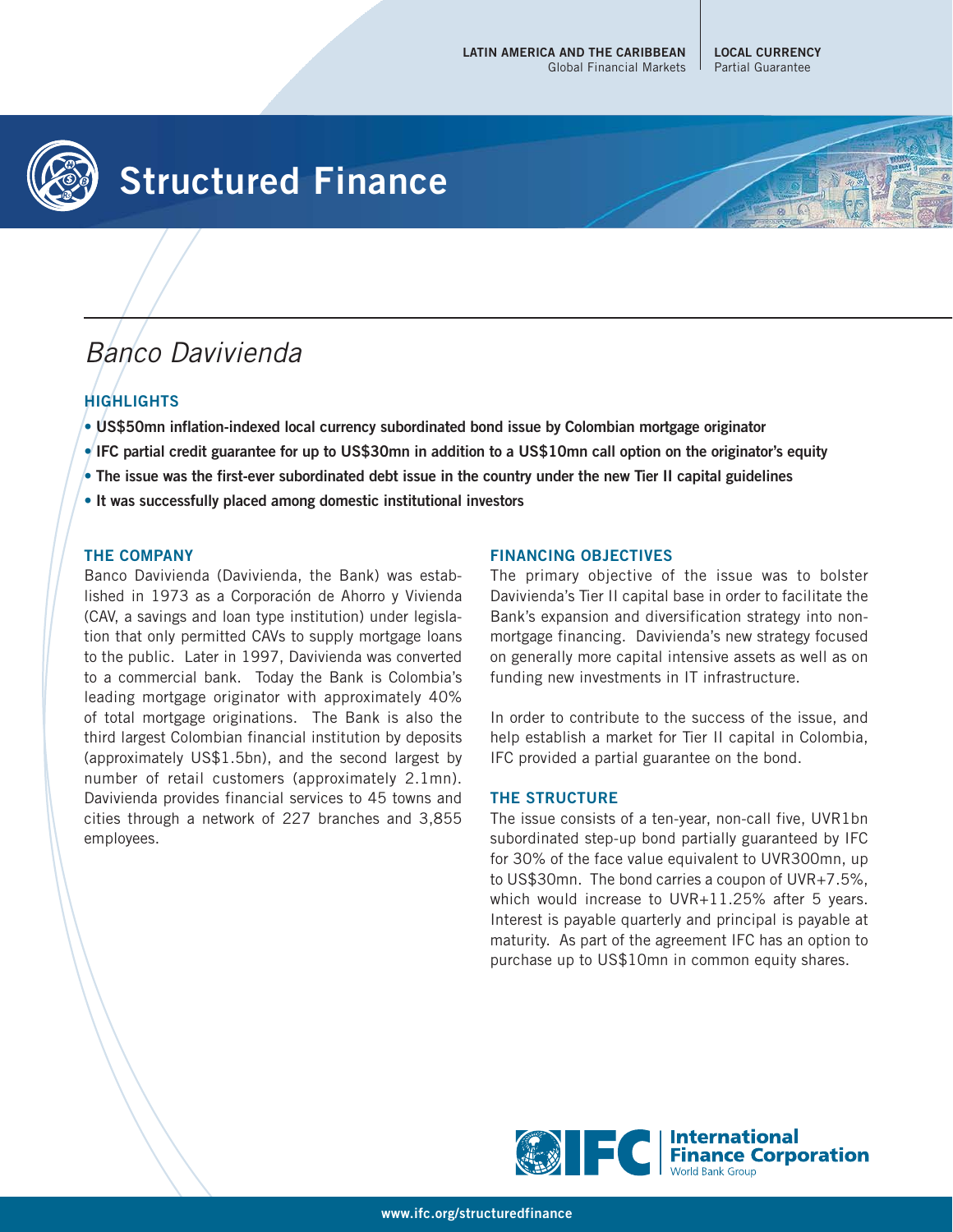**LOCAL CURRENCY** Partial Guarantee



# **Structured Finance**



## **HIGHLIGHTS**

- **US\$50mn inflation-indexed local currency subordinated bond issue by Colombian mortgage originator**
- **IFC partial credit guarantee for up to US\$30mn in addition to a US\$10mn call option on the originator's equity**
- **The issue was the first-ever subordinated debt issue in the country under the new Tier II capital guidelines**
- **It was successfully placed among domestic institutional investors**

#### **THE COMPANY**

Banco Davivienda (Davivienda, the Bank) was established in 1973 as a Corporación de Ahorro y Vivienda (CAV, a savings and loan type institution) under legislation that only permitted CAVs to supply mortgage loans to the public. Later in 1997, Davivienda was converted to a commercial bank. Today the Bank is Colombia's leading mortgage originator with approximately 40% of total mortgage originations. The Bank is also the third largest Colombian financial institution by deposits (approximately US\$1.5bn), and the second largest by number of retail customers (approximately 2.1mn). Davivienda provides financial services to 45 towns and cities through a network of 227 branches and 3,855 employees.

#### **FINANCING OBJECTIVES**

The primary objective of the issue was to bolster Davivienda's Tier II capital base in order to facilitate the Bank's expansion and diversification strategy into nonmortgage financing. Davivienda's new strategy focused on generally more capital intensive assets as well as on funding new investments in IT infrastructure.

In order to contribute to the success of the issue, and help establish a market for Tier II capital in Colombia, IFC provided a partial guarantee on the bond.

#### **THE STRUCTURE**

The issue consists of a ten-year, non-call five, UVR1bn subordinated step-up bond partially guaranteed by IFC for 30% of the face value equivalent to UVR300mn, up to US\$30mn. The bond carries a coupon of UVR+7.5%, which would increase to UVR+11.25% after 5 years. Interest is payable quarterly and principal is payable at maturity. As part of the agreement IFC has an option to purchase up to US\$10mn in common equity shares.